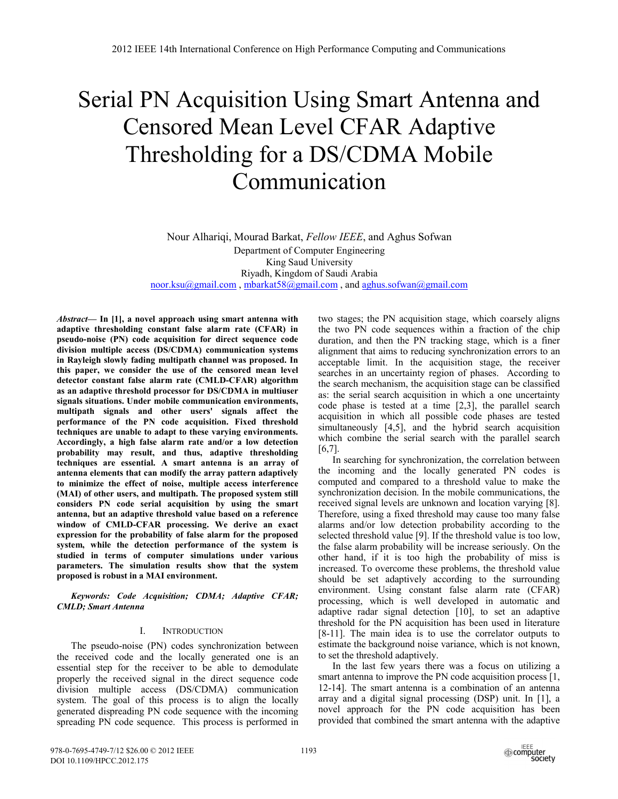# Serial PN Acquisition Using Smart Antenna and Censored Mean Level CFAR Adaptive Thresholding for a DS/CDMA Mobile Communication

Nour Alhariqi, Mourad Barkat, *Fellow IEEE*, and Aghus Sofwan Department of Computer Engineering King Saud University Riyadh, Kingdom of Saudi Arabia noor.ksu@gmail.com , mbarkat58@gmail.com , and aghus.sofwan@gmail.com

*Abstract***— In [1], a novel approach using smart antenna with adaptive thresholding constant false alarm rate (CFAR) in pseudo-noise (PN) code acquisition for direct sequence code division multiple access (DS/CDMA) communication systems in Rayleigh slowly fading multipath channel was proposed. In this paper, we consider the use of the censored mean level detector constant false alarm rate (CMLD-CFAR) algorithm as an adaptive threshold processor for DS/CDMA in multiuser signals situations. Under mobile communication environments, multipath signals and other users' signals affect the performance of the PN code acquisition. Fixed threshold techniques are unable to adapt to these varying environments. Accordingly, a high false alarm rate and/or a low detection probability may result, and thus, adaptive thresholding techniques are essential. A smart antenna is an array of antenna elements that can modify the array pattern adaptively to minimize the effect of noise, multiple access interference (MAI) of other users, and multipath. The proposed system still considers PN code serial acquisition by using the smart antenna, but an adaptive threshold value based on a reference window of CMLD-CFAR processing. We derive an exact expression for the probability of false alarm for the proposed system, while the detection performance of the system is studied in terms of computer simulations under various parameters. The simulation results show that the system proposed is robust in a MAI environment.** 

*Keywords: Code Acquisition; CDMA; Adaptive CFAR; CMLD; Smart Antenna* 

## I. INTRODUCTION

The pseudo-noise (PN) codes synchronization between the received code and the locally generated one is an essential step for the receiver to be able to demodulate properly the received signal in the direct sequence code division multiple access (DS/CDMA) communication system. The goal of this process is to align the locally generated dispreading PN code sequence with the incoming spreading PN code sequence. This process is performed in two stages; the PN acquisition stage, which coarsely aligns the two PN code sequences within a fraction of the chip duration, and then the PN tracking stage, which is a finer alignment that aims to reducing synchronization errors to an acceptable limit. In the acquisition stage, the receiver searches in an uncertainty region of phases. According to the search mechanism, the acquisition stage can be classified as: the serial search acquisition in which a one uncertainty code phase is tested at a time [2,3], the parallel search acquisition in which all possible code phases are tested simultaneously [4,5], and the hybrid search acquisition which combine the serial search with the parallel search [6,7].

In searching for synchronization, the correlation between the incoming and the locally generated PN codes is computed and compared to a threshold value to make the synchronization decision. In the mobile communications, the received signal levels are unknown and location varying [8]. Therefore, using a fixed threshold may cause too many false alarms and/or low detection probability according to the selected threshold value [9]. If the threshold value is too low, the false alarm probability will be increase seriously. On the other hand, if it is too high the probability of miss is increased. To overcome these problems, the threshold value should be set adaptively according to the surrounding environment. Using constant false alarm rate (CFAR) processing, which is well developed in automatic and adaptive radar signal detection [10], to set an adaptive threshold for the PN acquisition has been used in literature [8-11]. The main idea is to use the correlator outputs to estimate the background noise variance, which is not known, to set the threshold adaptively.

In the last few years there was a focus on utilizing a smart antenna to improve the PN code acquisition process [1, 12-14]. The smart antenna is a combination of an antenna array and a digital signal processing (DSP) unit. In [1], a novel approach for the PN code acquisition has been provided that combined the smart antenna with the adaptive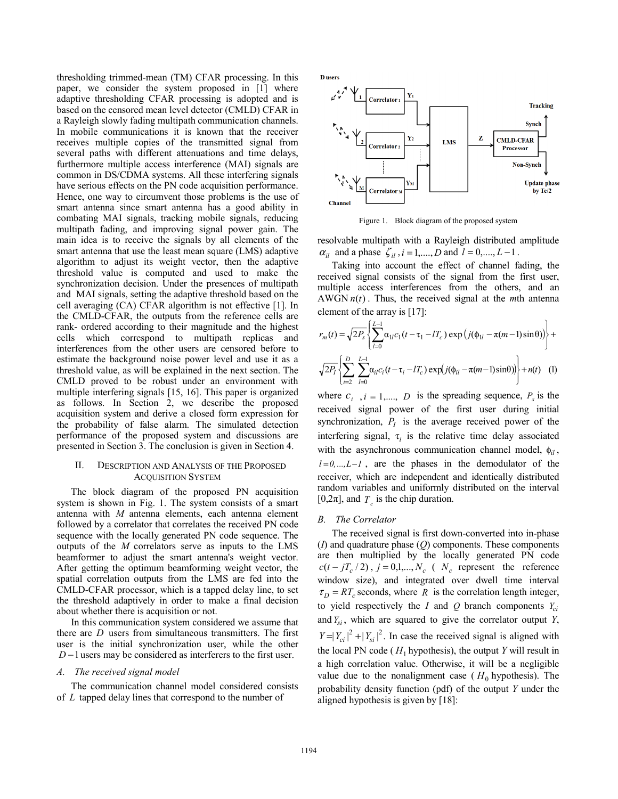thresholding trimmed-mean (TM) CFAR processing. In this paper, we consider the system proposed in [1] where adaptive thresholding CFAR processing is adopted and is based on the censored mean level detector (CMLD) CFAR in a Rayleigh slowly fading multipath communication channels. In mobile communications it is known that the receiver receives multiple copies of the transmitted signal from several paths with different attenuations and time delays, furthermore multiple access interference (MAI) signals are common in DS/CDMA systems. All these interfering signals have serious effects on the PN code acquisition performance. Hence, one way to circumvent those problems is the use of smart antenna since smart antenna has a good ability in combating MAI signals, tracking mobile signals, reducing multipath fading, and improving signal power gain. The main idea is to receive the signals by all elements of the smart antenna that use the least mean square (LMS) adaptive algorithm to adjust its weight vector, then the adaptive threshold value is computed and used to make the synchronization decision. Under the presences of multipath and MAI signals, setting the adaptive threshold based on the cell averaging (CA) CFAR algorithm is not effective [1]. In the CMLD-CFAR, the outputs from the reference cells are rank- ordered according to their magnitude and the highest cells which correspond to multipath replicas and interferences from the other users are censored before to estimate the background noise power level and use it as a threshold value, as will be explained in the next section. The CMLD proved to be robust under an environment with multiple interfering signals [15, 16]. This paper is organized as follows. In Section 2, we describe the proposed acquisition system and derive a closed form expression for the probability of false alarm. The simulated detection performance of the proposed system and discussions are presented in Section 3. The conclusion is given in Section 4.

## II. DESCRIPTION AND ANALYSIS OF THE PROPOSED ACQUISITION SYSTEM

The block diagram of the proposed PN acquisition system is shown in Fig. 1. The system consists of a smart antenna with *M* antenna elements, each antenna element followed by a correlator that correlates the received PN code sequence with the locally generated PN code sequence. The outputs of the *M* correlators serve as inputs to the LMS beamformer to adjust the smart antenna's weight vector. After getting the optimum beamforming weight vector, the spatial correlation outputs from the LMS are fed into the CMLD-CFAR processor, which is a tapped delay line, to set the threshold adaptively in order to make a final decision about whether there is acquisition or not.

In this communication system considered we assume that there are *D* users from simultaneous transmitters. The first user is the initial synchronization user, while the other *D* −1 users may be considered as interferers to the first user.

## *A. The received signal model*

The communication channel model considered consists of *L* tapped delay lines that correspond to the number of

**D** users



Figure 1. Block diagram of the proposed system

resolvable multipath with a Rayleigh distributed amplitude  $\alpha_{il}$  and a phase  $\zeta_{il}$ ,  $i = 1,...,D$  and  $l = 0,...,L-1$ .

Taking into account the effect of channel fading, the received signal consists of the signal from the first user, multiple access interferences from the others, and an AWGN  $n(t)$ . Thus, the received signal at the *mth* antenna element of the array is [17]:

$$
r_m(t) = \sqrt{2P_s} \left\{ \sum_{l=0}^{L-1} \alpha_{1l} c_1(t - \tau_1 - lT_c) \exp\left(j(\phi_{1l} - \pi(m-1)\sin\theta)\right) \right\} + \sqrt{2P_l} \left\{ \sum_{i=2}^{D} \sum_{l=0}^{L-1} \alpha_{il} c_i(t - \tau_i - lT_c) \exp\left(j(\phi_{il} - \pi(m-1)\sin\theta)\right) \right\} + n(t) \quad (1)
$$

where  $c_i$ ,  $i = 1, \dots, D$  is the spreading sequence,  $P_s$  is the received signal power of the first user during initial synchronization,  $P_I$  is the average received power of the interfering signal,  $\tau$ <sub>i</sub> is the relative time delay associated with the asynchronous communication channel model, φ*il* ,  $l=0,...,L-I$ , are the phases in the demodulator of the receiver, which are independent and identically distributed random variables and uniformly distributed on the interval [0,2 $\pi$ ], and  $T_c$  is the chip duration.

## *B. The Correlator*

The received signal is first down-converted into in-phase (*I*) and quadrature phase (*Q*) components. These components are then multiplied by the locally generated PN code  $c(t - jT_c/2)$ ,  $j = 0,1,...,N_c$  (  $N_c$  represent the reference window size), and integrated over dwell time interval  $\tau_D = RT_c$  seconds, where *R* is the correlation length integer, to yield respectively the *I* and  $Q$  branch components  $Y_{ci}$ and  $Y_{si}$ , which are squared to give the correlator output  $Y$ ,  $|Y=|Y_{ci}|^2 + |Y_{si}|^2$ . In case the received signal is aligned with the local PN code ( $H_1$  hypothesis), the output *Y* will result in a high correlation value. Otherwise, it will be a negligible value due to the nonalignment case  $(H_0)$  hypothesis). The probability density function (pdf) of the output *Y* under the aligned hypothesis is given by [18]: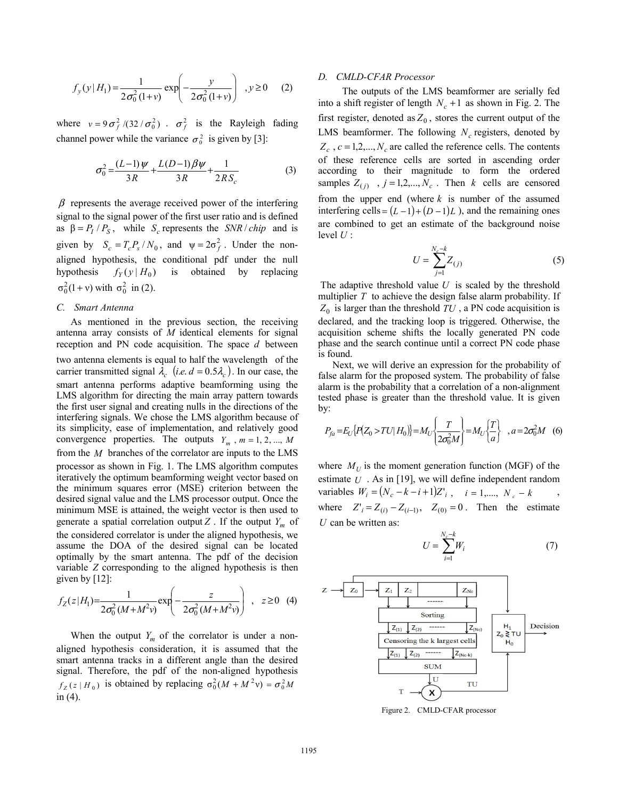$$
f_y(y|H_1) = \frac{1}{2\sigma_0^2(1+\nu)} \exp\left(-\frac{y}{2\sigma_0^2(1+\nu)}\right) , y \ge 0 \quad (2)
$$

where  $v = 9 \sigma_f^2 / (32 / \sigma_0^2)$ .  $\sigma_f^2$  is the Rayleigh fading channel power while the variance  $\sigma_0^2$  is given by [3]:

$$
\sigma_0^2 = \frac{(L-1)\psi}{3R} + \frac{L(D-1)\beta\psi}{3R} + \frac{1}{2RS_c}
$$
 (3)

 $\beta$  represents the average received power of the interfering signal to the signal power of the first user ratio and is defined as  $\beta = P_I / P_S$ , while *S<sub>c</sub>* represents the *SNR* / *chip* and is given by  $S_c = T_c P_s / N_0$ , and  $\psi = 2\sigma_f^2$ . Under the nonaligned hypothesis, the conditional pdf under the null hypothesis  $f_Y(y | H_0)$  is obtained by replacing  $\sigma_0^2(1 + v)$  with  $\sigma_0^2$  in (2).

## *C. Smart Antenna*

As mentioned in the previous section, the receiving antenna array consists of *M* identical elements for signal reception and PN code acquisition. The space *d* between two antenna elements is equal to half the wavelength of the carrier transmitted signal  $\lambda_c$  (*i.e. d* = 0.5 $\lambda_c$ ). In our case, the smart antenna performs adaptive beamforming using the LMS algorithm for directing the main array pattern towards the first user signal and creating nulls in the directions of the interfering signals. We chose the LMS algorithm because of its simplicity, ease of implementation, and relatively good convergence properties. The outputs  $Y_m$ ,  $m = 1, 2, ..., M$ from the *M* branches of the correlator are inputs to the LMS processor as shown in Fig. 1. The LMS algorithm computes iteratively the optimum beamforming weight vector based on the minimum squares error (MSE) criterion between the desired signal value and the LMS processor output. Once the minimum MSE is attained, the weight vector is then used to generate a spatial correlation output  $Z$ . If the output  $Y_m$  of the considered correlator is under the aligned hypothesis, we assume the DOA of the desired signal can be located optimally by the smart antenna. The pdf of the decision variable *Z* corresponding to the aligned hypothesis is then given by  $[12]$ :

$$
f_Z(z|H_1) = \frac{1}{2\sigma_0^2 (M + M^2 v)} \exp\left(-\frac{z}{2\sigma_0^2 (M + M^2 v)}\right) , \quad z \ge 0 \quad (4)
$$

When the output  $Y_m$  of the correlator is under a nonaligned hypothesis consideration, it is assumed that the smart antenna tracks in a different angle than the desired signal. Therefore, the pdf of the non-aligned hypothesis  $f_Z(z|H_0)$  is obtained by replacing  $\sigma_0^2(M + M^2 v) = \sigma_0^2 M$ in (4).

### *D. CMLD-CFAR Processor*

 The outputs of the LMS beamformer are serially fed into a shift register of length  $N_c + 1$  as shown in Fig. 2. The first register, denoted as  $Z_0$ , stores the current output of the LMS beamformer. The following  $N_c$  registers, denoted by  $Z_c$ ,  $c = 1, 2, \dots, N_c$  are called the reference cells. The contents of these reference cells are sorted in ascending order according to their magnitude to form the ordered samples  $Z_{(i)}$ ,  $j = 1, 2, ..., N_c$ . Then *k* cells are censored from the upper end (where *k* is number of the assumed interfering cells =  $(L-1)+(D-1)L$  ), and the remaining ones are combined to get an estimate of the background noise level *U* :

$$
U = \sum_{j=1}^{N_c - k} Z_{(j)}
$$
 (5)

 The adaptive threshold value *U* is scaled by the threshold multiplier *T* to achieve the design false alarm probability. If  $Z_0$  is larger than the threshold  $TU$ , a PN code acquisition is declared, and the tracking loop is triggered. Otherwise, the acquisition scheme shifts the locally generated PN code phase and the search continue until a correct PN code phase is found.

Next, we will derive an expression for the probability of false alarm for the proposed system. The probability of false alarm is the probability that a correlation of a non-alignment tested phase is greater than the threshold value. It is given by:

$$
P_{fa} = E_U\{P(Z_0 > TU | H_0)\} = M_U \left\{\frac{T}{2\sigma_0^2 M}\right\} = M_U \left\{\frac{T}{a}\right\} , a = 2\sigma_0^2 M \quad (6)
$$

where  $M_U$  is the moment generation function (MGF) of the estimate *U* . As in [19], we will define independent random variables  $W_i = (N_c - k - i + 1)Z'_{i}$ ,  $i = 1,..., N_c - k$ where  $Z'_{i} = Z_{(i)} - Z_{(i-1)}$ ,  $Z_{(0)} = 0$ . Then the estimate *U* can be written as:

$$
U = \sum_{i=1}^{N_c - k} W_i \tag{7}
$$



Figure 2. CMLD-CFAR processor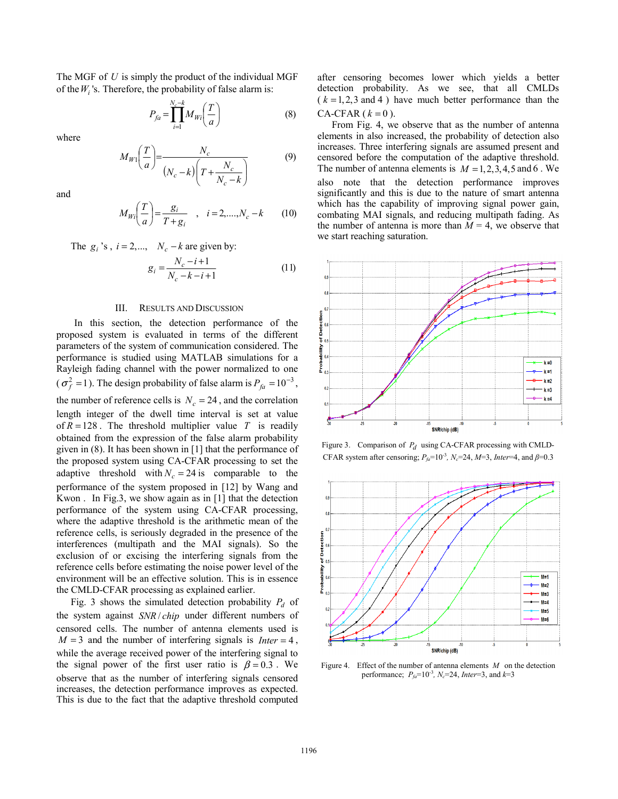The MGF of *U* is simply the product of the individual MGF of the*Wi* 's. Therefore, the probability of false alarm is:

$$
P_{fa} = \prod_{i=1}^{N_c - k} M_{Wi} \left(\frac{T}{a}\right) \tag{8}
$$

where

$$
M_{W1}\left(\frac{T}{a}\right) = \frac{N_c}{\left(N_c - k\right)\left(T + \frac{N_c}{N_c - k}\right)}\tag{9}
$$

and

$$
M_{Wi}\left(\frac{T}{a}\right) = \frac{g_i}{T + g_i} \quad , \quad i = 2, \dots, N_c - k \tag{10}
$$

The  $g_i$ 's,  $i = 2,..., N_c - k$  are given by:

$$
g_i = \frac{N_c - i + 1}{N_c - k - i + 1}
$$
 (11)

### III. RESULTS AND DISCUSSION

In this section, the detection performance of the proposed system is evaluated in terms of the different parameters of the system of communication considered. The performance is studied using MATLAB simulations for a Rayleigh fading channel with the power normalized to one  $(\sigma_f^2 = 1)$ . The design probability of false alarm is  $P_{fa} = 10^{-3}$ , the number of reference cells is  $N_c = 24$ , and the correlation length integer of the dwell time interval is set at value of  $R = 128$ . The threshold multiplier value *T* is readily obtained from the expression of the false alarm probability given in (8). It has been shown in [1] that the performance of the proposed system using CA-CFAR processing to set the adaptive threshold with  $N_c = 24$  is comparable to the performance of the system proposed in [12] by Wang and Kwon . In Fig.3, we show again as in [1] that the detection performance of the system using CA-CFAR processing, where the adaptive threshold is the arithmetic mean of the reference cells, is seriously degraded in the presence of the interferences (multipath and the MAI signals). So the exclusion of or excising the interfering signals from the reference cells before estimating the noise power level of the environment will be an effective solution. This is in essence the CMLD-CFAR processing as explained earlier.

Fig. 3 shows the simulated detection probability  $P_d$  of the system against *SNR* / *chip* under different numbers of censored cells. The number of antenna elements used is  $M = 3$  and the number of interfering signals is *Inter* = 4, while the average received power of the interfering signal to the signal power of the first user ratio is  $\beta = 0.3$ . We observe that as the number of interfering signals censored increases, the detection performance improves as expected. This is due to the fact that the adaptive threshold computed after censoring becomes lower which yields a better detection probability. As we see, that all CMLDs  $(k = 1, 2, 3 \text{ and } 4)$  have much better performance than the  $CA-CFAR$  ( $k = 0$ ).

From Fig. 4, we observe that as the number of antenna elements in also increased, the probability of detection also increases. Three interfering signals are assumed present and censored before the computation of the adaptive threshold. The number of antenna elements is  $M = 1, 2, 3, 4, 5$  and 6. We also note that the detection performance improves significantly and this is due to the nature of smart antenna which has the capability of improving signal power gain, combating MAI signals, and reducing multipath fading. As the number of antenna is more than  $M = 4$ , we observe that we start reaching saturation.



Figure 3. Comparison of *Pd* using CA-CFAR processing with CMLD-CFAR system after censoring;  $P_{fa}$ =10<sup>-3</sup>,  $N_c$ =24,  $M$ =3, *Inter*=4, and  $\beta$ =0.3



Figure 4. Effect of the number of antenna elements *M* on the detection performance;  $P_{fa} = 10^{-3}$ ,  $N_c = 24$ , *Inter*=3, and  $k=3$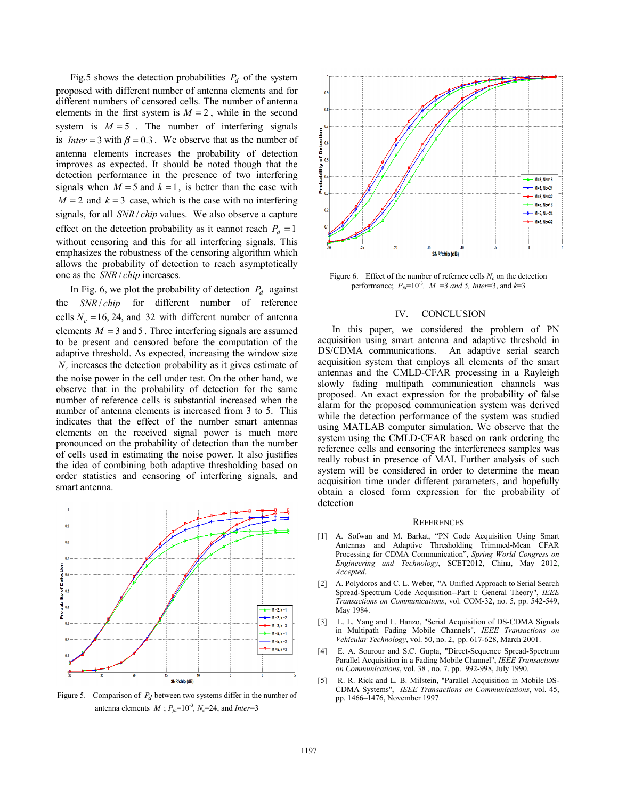Fig.5 shows the detection probabilities  $P_d$  of the system proposed with different number of antenna elements and for different numbers of censored cells. The number of antenna elements in the first system is  $M = 2$ , while in the second system is  $M = 5$ . The number of interfering signals is *Inter* = 3 with  $\beta$  = 0.3. We observe that as the number of antenna elements increases the probability of detection improves as expected. It should be noted though that the detection performance in the presence of two interfering signals when  $M = 5$  and  $k = 1$ , is better than the case with  $M = 2$  and  $k = 3$  case, which is the case with no interfering signals, for all *SNR* / *chip* values. We also observe a capture effect on the detection probability as it cannot reach  $P_d = 1$ without censoring and this for all interfering signals. This emphasizes the robustness of the censoring algorithm which allows the probability of detection to reach asymptotically one as the *SNR* / *chip* increases.

In Fig. 6, we plot the probability of detection  $P_d$  against the *SNR* / *chip* for different number of reference cells  $N_c = 16, 24,$  and 32 with different number of antenna elements  $M = 3$  and 5. Three interfering signals are assumed to be present and censored before the computation of the adaptive threshold. As expected, increasing the window size  $N_c$  increases the detection probability as it gives estimate of the noise power in the cell under test. On the other hand, we observe that in the probability of detection for the same number of reference cells is substantial increased when the number of antenna elements is increased from 3 to 5. This indicates that the effect of the number smart antennas elements on the received signal power is much more pronounced on the probability of detection than the number of cells used in estimating the noise power. It also justifies the idea of combining both adaptive thresholding based on order statistics and censoring of interfering signals, and smart antenna.



Figure 5. Comparison of  $P_d$  between two systems differ in the number of antenna elements  $M$ ;  $P_{fa}$ =10<sup>-3</sup>,  $N_c$ =24, and *Inter*=3



Figure 6. Effect of the number of refernce cells  $N_c$  on the detection performance;  $P_{fa} = 10^{-3}$ ,  $M = 3$  and 5, Inter=3, and  $k=3$ 

#### IV. CONCLUSION

In this paper, we considered the problem of PN acquisition using smart antenna and adaptive threshold in DS/CDMA communications. An adaptive serial search acquisition system that employs all elements of the smart antennas and the CMLD-CFAR processing in a Rayleigh slowly fading multipath communication channels was proposed. An exact expression for the probability of false alarm for the proposed communication system was derived while the detection performance of the system was studied using MATLAB computer simulation. We observe that the system using the CMLD-CFAR based on rank ordering the reference cells and censoring the interferences samples was really robust in presence of MAI. Further analysis of such system will be considered in order to determine the mean acquisition time under different parameters, and hopefully obtain a closed form expression for the probability of detection

#### **REFERENCES**

- [1] A. Sofwan and M. Barkat, "PN Code Acquisition Using Smart Antennas and Adaptive Thresholding Trimmed-Mean CFAR Processing for CDMA Communication", *Spring World Congress on Engineering and Technology*, SCET2012, China, May 2012, *Accepted*.
- [2] A. Polydoros and C. L. Weber, '"A Unified Approach to Serial Search Spread-Spectrum Code Acquisition--Part I: General Theory", *IEEE Transactions on Communications*, vol. COM-32, no. 5, pp. 542-549, May 1984.
- [3] L. L. Yang and L. Hanzo, "Serial Acquisition of DS-CDMA Signals in Multipath Fading Mobile Channels", *IEEE Transactions on Vehicular Technology*, vol. 50, no. 2, pp. 617-628, March 2001.
- [4] E. A. Sourour and S.C. Gupta, "Direct-Sequence Spread-Spectrum Parallel Acquisition in a Fading Mobile Channel", *IEEE Transactions on Communications*, vol. 38 , no. 7. pp. 992-998, July 1990.
- [5] R. R. Rick and L. B. Milstein, "Parallel Acquisition in Mobile DS-CDMA Systems", *IEEE Transactions on Communications*, vol. 45, pp. 1466–1476, November 1997.